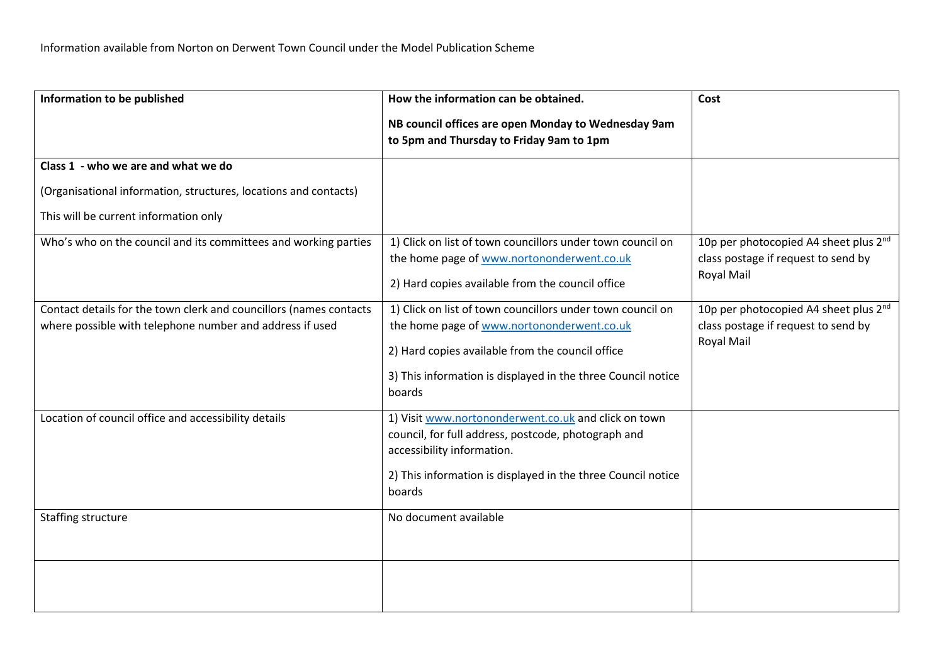| Information to be published                                                                                                    | How the information can be obtained.                                                                                                                                                                                                   | Cost                                                                                                   |
|--------------------------------------------------------------------------------------------------------------------------------|----------------------------------------------------------------------------------------------------------------------------------------------------------------------------------------------------------------------------------------|--------------------------------------------------------------------------------------------------------|
|                                                                                                                                | NB council offices are open Monday to Wednesday 9am<br>to 5pm and Thursday to Friday 9am to 1pm                                                                                                                                        |                                                                                                        |
| Class 1 - who we are and what we do                                                                                            |                                                                                                                                                                                                                                        |                                                                                                        |
| (Organisational information, structures, locations and contacts)                                                               |                                                                                                                                                                                                                                        |                                                                                                        |
| This will be current information only                                                                                          |                                                                                                                                                                                                                                        |                                                                                                        |
| Who's who on the council and its committees and working parties                                                                | 1) Click on list of town councillors under town council on<br>the home page of www.nortononderwent.co.uk<br>2) Hard copies available from the council office                                                                           | 10p per photocopied A4 sheet plus 2 <sup>nd</sup><br>class postage if request to send by<br>Royal Mail |
| Contact details for the town clerk and councillors (names contacts<br>where possible with telephone number and address if used | 1) Click on list of town councillors under town council on<br>the home page of www.nortononderwent.co.uk<br>2) Hard copies available from the council office<br>3) This information is displayed in the three Council notice<br>boards | 10p per photocopied A4 sheet plus 2 <sup>nd</sup><br>class postage if request to send by<br>Royal Mail |
| Location of council office and accessibility details                                                                           | 1) Visit www.nortononderwent.co.uk and click on town<br>council, for full address, postcode, photograph and<br>accessibility information.<br>2) This information is displayed in the three Council notice<br>boards                    |                                                                                                        |
| Staffing structure                                                                                                             | No document available                                                                                                                                                                                                                  |                                                                                                        |
|                                                                                                                                |                                                                                                                                                                                                                                        |                                                                                                        |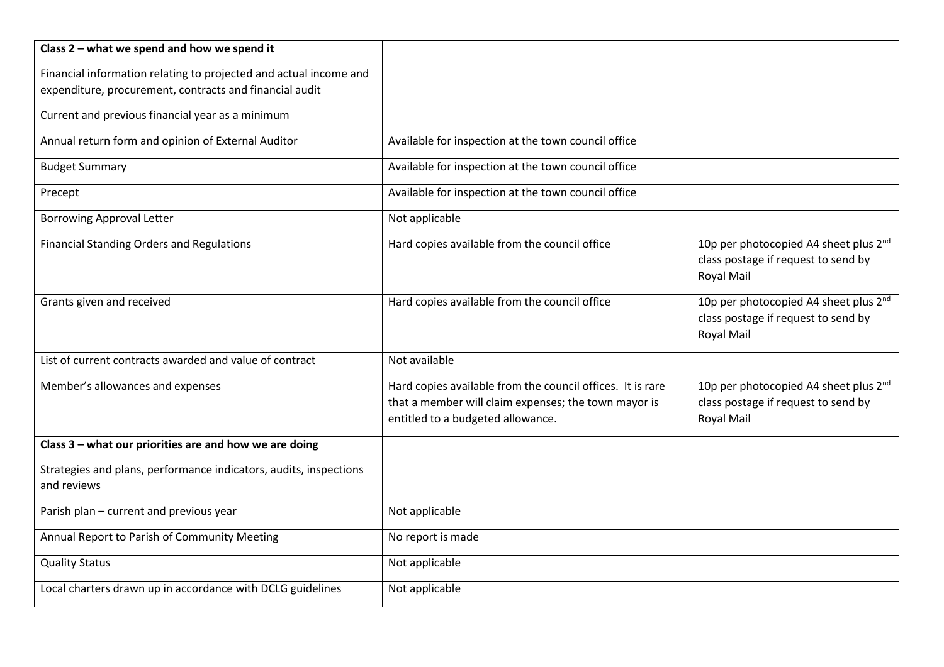| Class 2 - what we spend and how we spend it                                                                                  |                                                                                                                                                         |                                                                                                               |
|------------------------------------------------------------------------------------------------------------------------------|---------------------------------------------------------------------------------------------------------------------------------------------------------|---------------------------------------------------------------------------------------------------------------|
| Financial information relating to projected and actual income and<br>expenditure, procurement, contracts and financial audit |                                                                                                                                                         |                                                                                                               |
| Current and previous financial year as a minimum                                                                             |                                                                                                                                                         |                                                                                                               |
| Annual return form and opinion of External Auditor                                                                           | Available for inspection at the town council office                                                                                                     |                                                                                                               |
| <b>Budget Summary</b>                                                                                                        | Available for inspection at the town council office                                                                                                     |                                                                                                               |
| Precept                                                                                                                      | Available for inspection at the town council office                                                                                                     |                                                                                                               |
| <b>Borrowing Approval Letter</b>                                                                                             | Not applicable                                                                                                                                          |                                                                                                               |
| <b>Financial Standing Orders and Regulations</b>                                                                             | Hard copies available from the council office                                                                                                           | 10p per photocopied A4 sheet plus 2 <sup>nd</sup><br>class postage if request to send by<br>Royal Mail        |
| Grants given and received                                                                                                    | Hard copies available from the council office                                                                                                           | 10p per photocopied A4 sheet plus 2 <sup>nd</sup><br>class postage if request to send by<br><b>Royal Mail</b> |
| List of current contracts awarded and value of contract                                                                      | Not available                                                                                                                                           |                                                                                                               |
| Member's allowances and expenses                                                                                             | Hard copies available from the council offices. It is rare<br>that a member will claim expenses; the town mayor is<br>entitled to a budgeted allowance. | 10p per photocopied A4 sheet plus 2 <sup>nd</sup><br>class postage if request to send by<br>Royal Mail        |
| Class 3 - what our priorities are and how we are doing                                                                       |                                                                                                                                                         |                                                                                                               |
| Strategies and plans, performance indicators, audits, inspections<br>and reviews                                             |                                                                                                                                                         |                                                                                                               |
| Parish plan - current and previous year                                                                                      | Not applicable                                                                                                                                          |                                                                                                               |
| Annual Report to Parish of Community Meeting                                                                                 | No report is made                                                                                                                                       |                                                                                                               |
| <b>Quality Status</b>                                                                                                        | Not applicable                                                                                                                                          |                                                                                                               |
| Local charters drawn up in accordance with DCLG guidelines                                                                   | Not applicable                                                                                                                                          |                                                                                                               |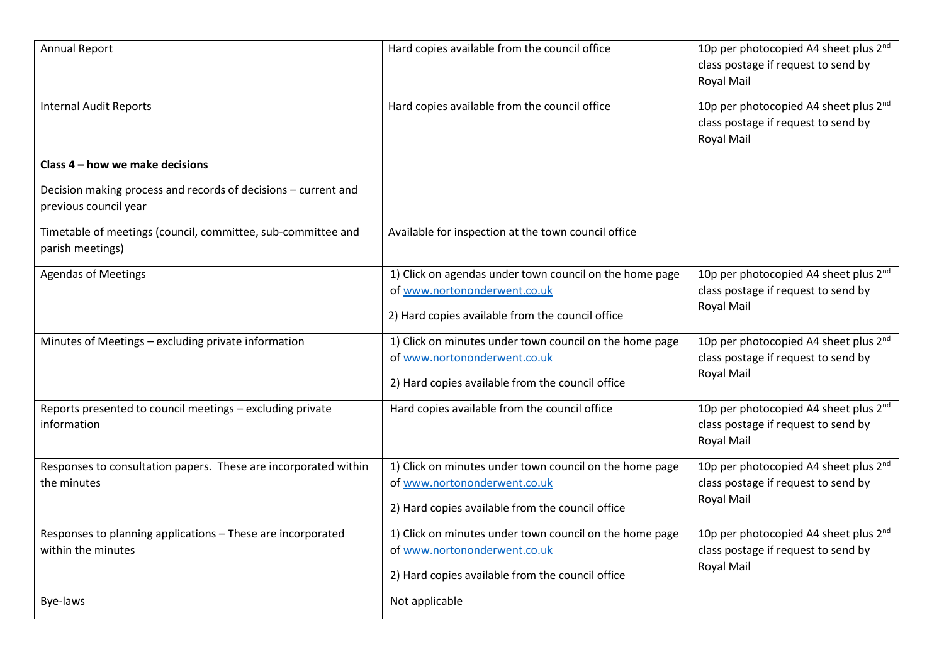| <b>Annual Report</b>                                                                    | Hard copies available from the council office                                                                                               | 10p per photocopied A4 sheet plus 2 <sup>nd</sup><br>class postage if request to send by<br>Royal Mail        |
|-----------------------------------------------------------------------------------------|---------------------------------------------------------------------------------------------------------------------------------------------|---------------------------------------------------------------------------------------------------------------|
| <b>Internal Audit Reports</b>                                                           | Hard copies available from the council office                                                                                               | 10p per photocopied A4 sheet plus 2 <sup>nd</sup><br>class postage if request to send by<br>Royal Mail        |
| Class 4 - how we make decisions                                                         |                                                                                                                                             |                                                                                                               |
| Decision making process and records of decisions - current and<br>previous council year |                                                                                                                                             |                                                                                                               |
| Timetable of meetings (council, committee, sub-committee and<br>parish meetings)        | Available for inspection at the town council office                                                                                         |                                                                                                               |
| <b>Agendas of Meetings</b>                                                              | 1) Click on agendas under town council on the home page<br>of www.nortononderwent.co.uk<br>2) Hard copies available from the council office | 10p per photocopied A4 sheet plus 2 <sup>nd</sup><br>class postage if request to send by<br><b>Royal Mail</b> |
| Minutes of Meetings - excluding private information                                     | 1) Click on minutes under town council on the home page<br>of www.nortononderwent.co.uk<br>2) Hard copies available from the council office | 10p per photocopied A4 sheet plus 2 <sup>nd</sup><br>class postage if request to send by<br>Royal Mail        |
| Reports presented to council meetings - excluding private<br>information                | Hard copies available from the council office                                                                                               | 10p per photocopied A4 sheet plus 2 <sup>nd</sup><br>class postage if request to send by<br><b>Royal Mail</b> |
| Responses to consultation papers. These are incorporated within<br>the minutes          | 1) Click on minutes under town council on the home page<br>of www.nortononderwent.co.uk<br>2) Hard copies available from the council office | 10p per photocopied A4 sheet plus 2 <sup>nd</sup><br>class postage if request to send by<br><b>Royal Mail</b> |
| Responses to planning applications - These are incorporated<br>within the minutes       | 1) Click on minutes under town council on the home page<br>of www.nortononderwent.co.uk<br>2) Hard copies available from the council office | 10p per photocopied A4 sheet plus 2 <sup>nd</sup><br>class postage if request to send by<br><b>Royal Mail</b> |
| Bye-laws                                                                                | Not applicable                                                                                                                              |                                                                                                               |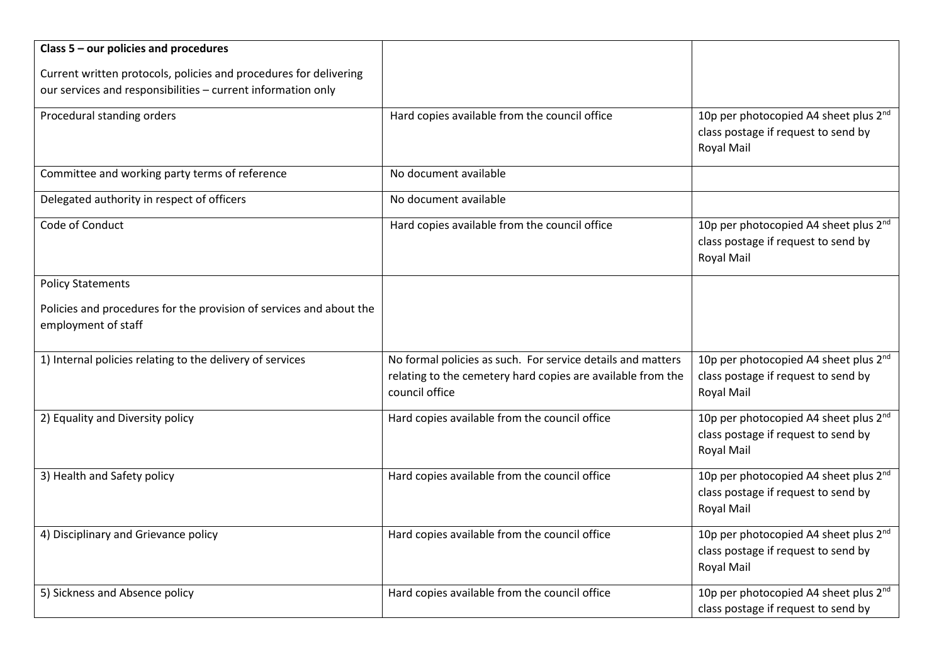| Class $5$ – our policies and procedures                                                                                           |                                                                                                                                              |                                                                                                               |
|-----------------------------------------------------------------------------------------------------------------------------------|----------------------------------------------------------------------------------------------------------------------------------------------|---------------------------------------------------------------------------------------------------------------|
| Current written protocols, policies and procedures for delivering<br>our services and responsibilities - current information only |                                                                                                                                              |                                                                                                               |
| Procedural standing orders                                                                                                        | Hard copies available from the council office                                                                                                | 10p per photocopied A4 sheet plus 2 <sup>nd</sup><br>class postage if request to send by<br><b>Royal Mail</b> |
| Committee and working party terms of reference                                                                                    | No document available                                                                                                                        |                                                                                                               |
| Delegated authority in respect of officers                                                                                        | No document available                                                                                                                        |                                                                                                               |
| Code of Conduct                                                                                                                   | Hard copies available from the council office                                                                                                | 10p per photocopied A4 sheet plus 2 <sup>nd</sup><br>class postage if request to send by<br><b>Royal Mail</b> |
| <b>Policy Statements</b>                                                                                                          |                                                                                                                                              |                                                                                                               |
| Policies and procedures for the provision of services and about the<br>employment of staff                                        |                                                                                                                                              |                                                                                                               |
| 1) Internal policies relating to the delivery of services                                                                         | No formal policies as such. For service details and matters<br>relating to the cemetery hard copies are available from the<br>council office | 10p per photocopied A4 sheet plus 2 <sup>nd</sup><br>class postage if request to send by<br>Royal Mail        |
| 2) Equality and Diversity policy                                                                                                  | Hard copies available from the council office                                                                                                | 10p per photocopied A4 sheet plus 2 <sup>nd</sup><br>class postage if request to send by<br>Royal Mail        |
| 3) Health and Safety policy                                                                                                       | Hard copies available from the council office                                                                                                | 10p per photocopied A4 sheet plus 2 <sup>nd</sup><br>class postage if request to send by<br><b>Royal Mail</b> |
| 4) Disciplinary and Grievance policy                                                                                              | Hard copies available from the council office                                                                                                | 10p per photocopied A4 sheet plus 2 <sup>nd</sup><br>class postage if request to send by<br><b>Royal Mail</b> |
| 5) Sickness and Absence policy                                                                                                    | Hard copies available from the council office                                                                                                | 10p per photocopied A4 sheet plus 2 <sup>nd</sup><br>class postage if request to send by                      |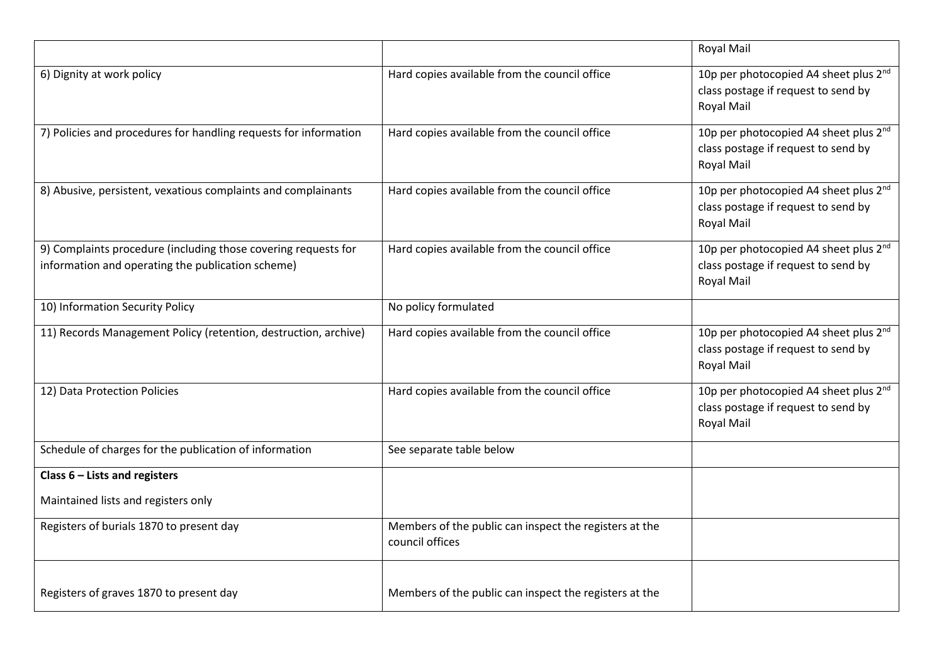|                                                                                                                     |                                                                           | <b>Royal Mail</b>                                                                                             |
|---------------------------------------------------------------------------------------------------------------------|---------------------------------------------------------------------------|---------------------------------------------------------------------------------------------------------------|
| 6) Dignity at work policy                                                                                           | Hard copies available from the council office                             | 10p per photocopied A4 sheet plus 2 <sup>nd</sup><br>class postage if request to send by<br><b>Royal Mail</b> |
| 7) Policies and procedures for handling requests for information                                                    | Hard copies available from the council office                             | 10p per photocopied A4 sheet plus 2 <sup>nd</sup><br>class postage if request to send by<br><b>Royal Mail</b> |
| 8) Abusive, persistent, vexatious complaints and complainants                                                       | Hard copies available from the council office                             | 10p per photocopied A4 sheet plus 2 <sup>nd</sup><br>class postage if request to send by<br>Royal Mail        |
| 9) Complaints procedure (including those covering requests for<br>information and operating the publication scheme) | Hard copies available from the council office                             | 10p per photocopied A4 sheet plus 2 <sup>nd</sup><br>class postage if request to send by<br>Royal Mail        |
| 10) Information Security Policy                                                                                     | No policy formulated                                                      |                                                                                                               |
| 11) Records Management Policy (retention, destruction, archive)                                                     | Hard copies available from the council office                             | 10p per photocopied A4 sheet plus 2 <sup>nd</sup><br>class postage if request to send by<br><b>Royal Mail</b> |
| 12) Data Protection Policies                                                                                        | Hard copies available from the council office                             | 10p per photocopied A4 sheet plus 2 <sup>nd</sup><br>class postage if request to send by<br><b>Royal Mail</b> |
| Schedule of charges for the publication of information                                                              | See separate table below                                                  |                                                                                                               |
| Class $6$ – Lists and registers                                                                                     |                                                                           |                                                                                                               |
| Maintained lists and registers only                                                                                 |                                                                           |                                                                                                               |
| Registers of burials 1870 to present day                                                                            | Members of the public can inspect the registers at the<br>council offices |                                                                                                               |
| Registers of graves 1870 to present day                                                                             | Members of the public can inspect the registers at the                    |                                                                                                               |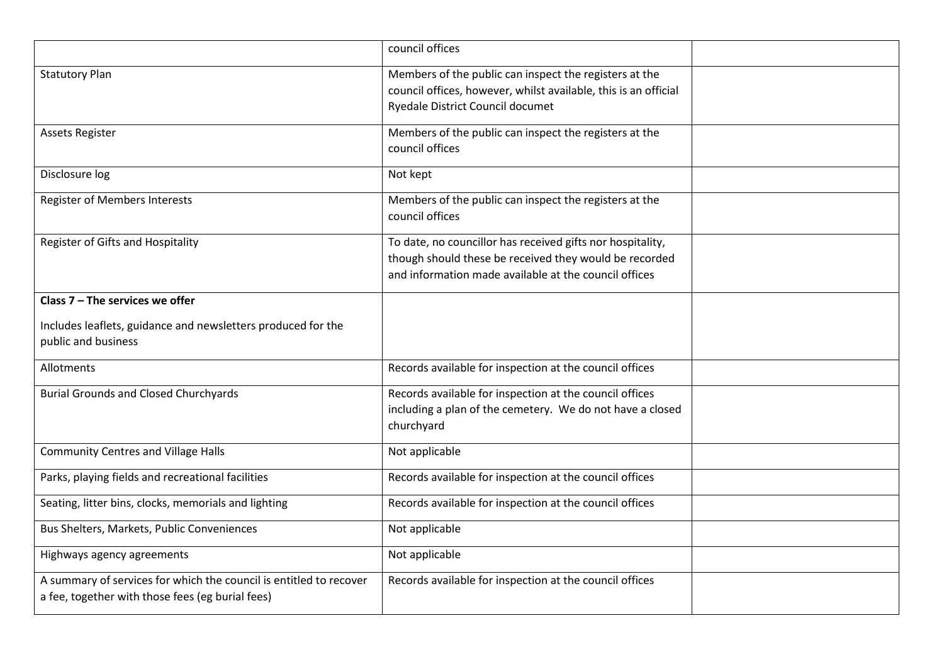|                                                                                                                        | council offices                                                                                                                                                               |  |
|------------------------------------------------------------------------------------------------------------------------|-------------------------------------------------------------------------------------------------------------------------------------------------------------------------------|--|
| <b>Statutory Plan</b>                                                                                                  | Members of the public can inspect the registers at the<br>council offices, however, whilst available, this is an official<br>Ryedale District Council documet                 |  |
| <b>Assets Register</b>                                                                                                 | Members of the public can inspect the registers at the<br>council offices                                                                                                     |  |
| Disclosure log                                                                                                         | Not kept                                                                                                                                                                      |  |
| <b>Register of Members Interests</b>                                                                                   | Members of the public can inspect the registers at the<br>council offices                                                                                                     |  |
| Register of Gifts and Hospitality                                                                                      | To date, no councillor has received gifts nor hospitality,<br>though should these be received they would be recorded<br>and information made available at the council offices |  |
| Class $7$ – The services we offer                                                                                      |                                                                                                                                                                               |  |
| Includes leaflets, guidance and newsletters produced for the<br>public and business                                    |                                                                                                                                                                               |  |
| Allotments                                                                                                             | Records available for inspection at the council offices                                                                                                                       |  |
| <b>Burial Grounds and Closed Churchyards</b>                                                                           | Records available for inspection at the council offices<br>including a plan of the cemetery. We do not have a closed<br>churchyard                                            |  |
| <b>Community Centres and Village Halls</b>                                                                             | Not applicable                                                                                                                                                                |  |
| Parks, playing fields and recreational facilities                                                                      | Records available for inspection at the council offices                                                                                                                       |  |
| Seating, litter bins, clocks, memorials and lighting                                                                   | Records available for inspection at the council offices                                                                                                                       |  |
| Bus Shelters, Markets, Public Conveniences                                                                             | Not applicable                                                                                                                                                                |  |
| Highways agency agreements                                                                                             | Not applicable                                                                                                                                                                |  |
| A summary of services for which the council is entitled to recover<br>a fee, together with those fees (eg burial fees) | Records available for inspection at the council offices                                                                                                                       |  |